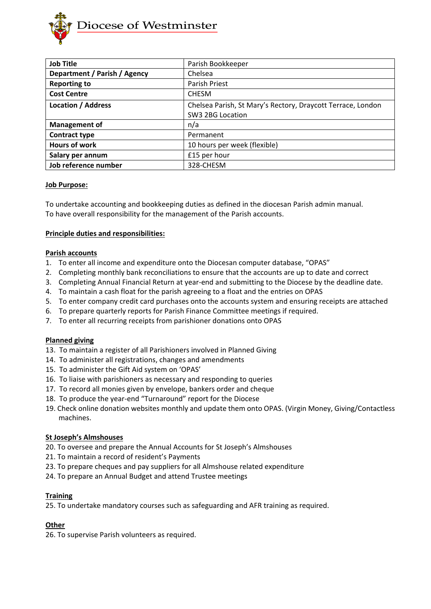

| <b>Job Title</b>             | Parish Bookkeeper                                           |
|------------------------------|-------------------------------------------------------------|
| Department / Parish / Agency | Chelsea                                                     |
| <b>Reporting to</b>          | Parish Priest                                               |
| <b>Cost Centre</b>           | <b>CHESM</b>                                                |
| <b>Location / Address</b>    | Chelsea Parish, St Mary's Rectory, Draycott Terrace, London |
|                              | SW3 2BG Location                                            |
| <b>Management of</b>         | n/a                                                         |
| <b>Contract type</b>         | Permanent                                                   |
| <b>Hours of work</b>         | 10 hours per week (flexible)                                |
| Salary per annum             | £15 per hour                                                |
| Job reference number         | 328-CHESM                                                   |

### **Job Purpose:**

To undertake accounting and bookkeeping duties as defined in the diocesan Parish admin manual. To have overall responsibility for the management of the Parish accounts.

# **Principle duties and responsibilities:**

### **Parish accounts**

- 1. To enter all income and expenditure onto the Diocesan computer database, "OPAS"
- 2. Completing monthly bank reconciliations to ensure that the accounts are up to date and correct
- 3. Completing Annual Financial Return at year-end and submitting to the Diocese by the deadline date.
- 4. To maintain a cash float for the parish agreeing to a float and the entries on OPAS
- 5. To enter company credit card purchases onto the accounts system and ensuring receipts are attached
- 6. To prepare quarterly reports for Parish Finance Committee meetings if required.
- 7. To enter all recurring receipts from parishioner donations onto OPAS

### **Planned giving**

- 13.To maintain a register of all Parishioners involved in Planned Giving
- 14.To administer all registrations, changes and amendments
- 15.To administer the Gift Aid system on 'OPAS'
- 16.To liaise with parishioners as necessary and responding to queries
- 17.To record all monies given by envelope, bankers order and cheque
- 18.To produce the year-end "Turnaround" report for the Diocese
- 19. Check online donation websites monthly and update them onto OPAS. (Virgin Money, Giving/Contactless machines.

### **St Joseph's Almshouses**

- 20. To oversee and prepare the Annual Accounts for St Joseph's Almshouses
- 21. To maintain a record of resident's Payments
- 23. To prepare cheques and pay suppliers for all Almshouse related expenditure
- 24. To prepare an Annual Budget and attend Trustee meetings

### **Training**

25. To undertake mandatory courses such as safeguarding and AFR training as required.

# **Other**

26. To supervise Parish volunteers as required.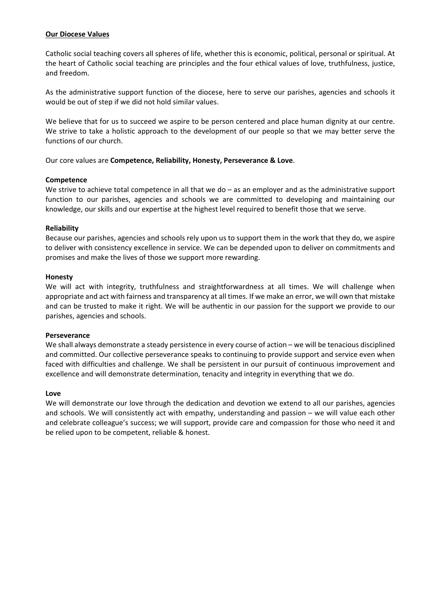### **Our Diocese Values**

Catholic social teaching covers all spheres of life, whether this is economic, political, personal or spiritual. At the heart of Catholic social teaching are principles and the four ethical values of love, truthfulness, justice, and freedom.

As the administrative support function of the diocese, here to serve our parishes, agencies and schools it would be out of step if we did not hold similar values.

We believe that for us to succeed we aspire to be person centered and place human dignity at our centre. We strive to take a holistic approach to the development of our people so that we may better serve the functions of our church.

Our core values are **Competence, Reliability, Honesty, Perseverance & Love**.

### **Competence**

We strive to achieve total competence in all that we do – as an employer and as the administrative support function to our parishes, agencies and schools we are committed to developing and maintaining our knowledge, our skills and our expertise at the highest level required to benefit those that we serve.

# **Reliability**

Because our parishes, agencies and schools rely upon us to support them in the work that they do, we aspire to deliver with consistency excellence in service. We can be depended upon to deliver on commitments and promises and make the lives of those we support more rewarding.

### **Honesty**

We will act with integrity, truthfulness and straightforwardness at all times. We will challenge when appropriate and act with fairness and transparency at all times. If we make an error, we will own that mistake and can be trusted to make it right. We will be authentic in our passion for the support we provide to our parishes, agencies and schools.

### **Perseverance**

We shall always demonstrate a steady persistence in every course of action – we will be tenacious disciplined and committed. Our collective perseverance speaks to continuing to provide support and service even when faced with difficulties and challenge. We shall be persistent in our pursuit of continuous improvement and excellence and will demonstrate determination, tenacity and integrity in everything that we do.

### **Love**

We will demonstrate our love through the dedication and devotion we extend to all our parishes, agencies and schools. We will consistently act with empathy, understanding and passion – we will value each other and celebrate colleague's success; we will support, provide care and compassion for those who need it and be relied upon to be competent, reliable & honest.